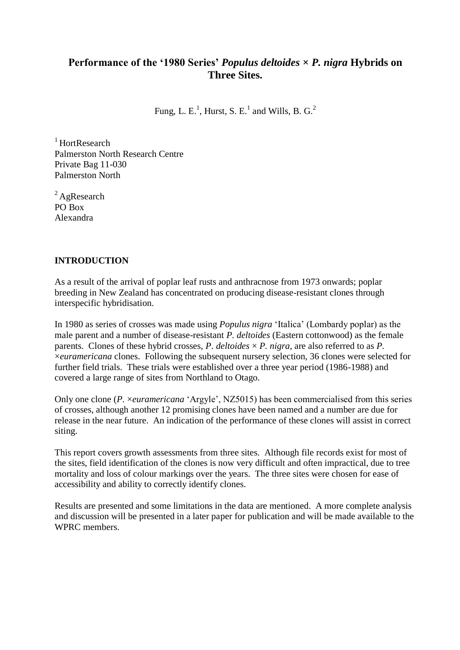## **Performance of the '1980 Series'** *Populus deltoides* **×** *P. nigra* **Hybrids on Three Sites.**

Fung, L. E.<sup>1</sup>, Hurst, S. E.<sup>1</sup> and Wills, B. G.<sup>2</sup>

 $1$ HortResearch Palmerston North Research Centre Private Bag 11-030 Palmerston North

 ${}^{2}$ AgResearch PO Box Alexandra

### **INTRODUCTION**

As a result of the arrival of poplar leaf rusts and anthracnose from 1973 onwards; poplar breeding in New Zealand has concentrated on producing disease-resistant clones through interspecific hybridisation.

In 1980 as series of crosses was made using *Populus nigra* 'Italica' (Lombardy poplar) as the male parent and a number of disease-resistant *P. deltoides* (Eastern cottonwood) as the female parents. Clones of these hybrid crosses, *P. deltoides*  $\times$  *P. nigra*, are also referred to as *P.* ×*euramericana* clones. Following the subsequent nursery selection, 36 clones were selected for further field trials. These trials were established over a three year period (1986-1988) and covered a large range of sites from Northland to Otago.

Only one clone (*P.* ×*euramericana* 'Argyle', NZ5015) has been commercialised from this series of crosses, although another 12 promising clones have been named and a number are due for release in the near future. An indication of the performance of these clones will assist in correct siting.

This report covers growth assessments from three sites. Although file records exist for most of the sites, field identification of the clones is now very difficult and often impractical, due to tree mortality and loss of colour markings over the years. The three sites were chosen for ease of accessibility and ability to correctly identify clones.

Results are presented and some limitations in the data are mentioned. A more complete analysis and discussion will be presented in a later paper for publication and will be made available to the WPRC members.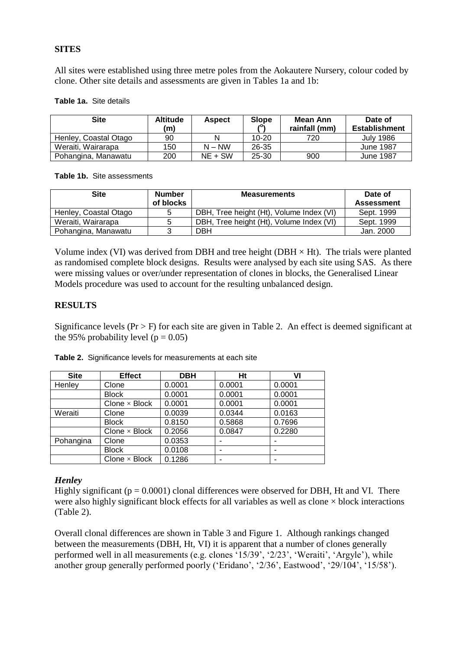#### **SITES**

All sites were established using three metre poles from the Aokautere Nursery, colour coded by clone. Other site details and assessments are given in Tables 1a and 1b:

#### **Table 1a.** Site details

| Site                  | <b>Altitude</b><br>(m) | <b>Aspect</b> | <b>Slope</b> | Mean Ann<br>rainfall (mm) | Date of<br><b>Establishment</b> |
|-----------------------|------------------------|---------------|--------------|---------------------------|---------------------------------|
| Henley, Coastal Otago | 90                     | N             | $10 - 20$    | 720                       | <b>July 1986</b>                |
| Weraiti, Wairarapa    | 150                    | $N - NW$      | 26-35        |                           | <b>June 1987</b>                |
| Pohangina, Manawatu   | 200                    | $NE + SW$     | $25 - 30$    | 900                       | <b>June 1987</b>                |

**Table 1b.** Site assessments

| <b>Site</b>           | <b>Number</b><br>of blocks | <b>Measurements</b>                      | Date of<br><b>Assessment</b> |
|-----------------------|----------------------------|------------------------------------------|------------------------------|
| Henley, Coastal Otago | 5                          | DBH, Tree height (Ht), Volume Index (VI) | Sept. 1999                   |
| Weraiti, Wairarapa    | 5                          | DBH, Tree height (Ht), Volume Index (VI) | Sept. 1999                   |
| Pohangina, Manawatu   | ર                          | <b>DBH</b>                               | Jan. 2000                    |

Volume index (VI) was derived from DBH and tree height (DBH  $\times$  Ht). The trials were planted as randomised complete block designs. Results were analysed by each site using SAS. As there were missing values or over/under representation of clones in blocks, the Generalised Linear Models procedure was used to account for the resulting unbalanced design.

#### **RESULTS**

Significance levels ( $Pr > F$ ) for each site are given in Table 2. An effect is deemed significant at the 95% probability level ( $p = 0.05$ )

| <b>Site</b> | <b>Effect</b>           | <b>DBH</b> | Ht     | VI     |
|-------------|-------------------------|------------|--------|--------|
| Henley      | Clone                   | 0.0001     | 0.0001 | 0.0001 |
|             | <b>Block</b>            | 0.0001     | 0.0001 | 0.0001 |
|             | $C$ lone $\times$ Block | 0.0001     | 0.0001 | 0.0001 |
| Weraiti     | Clone                   | 0.0039     | 0.0344 | 0.0163 |
|             | <b>Block</b>            | 0.8150     | 0.5868 | 0.7696 |
|             | Clone $\times$ Block    | 0.2056     | 0.0847 | 0.2280 |
| Pohangina   | Clone                   | 0.0353     | ٠      |        |
|             | <b>Block</b>            | 0.0108     | ٠      |        |
|             | Clone $\times$ Block    | 0.1286     |        |        |

**Table 2.** Significance levels for measurements at each site

#### *Henley*

Highly significant ( $p = 0.0001$ ) clonal differences were observed for DBH, Ht and VI. There were also highly significant block effects for all variables as well as clone  $\times$  block interactions (Table 2).

Overall clonal differences are shown in Table 3 and Figure 1. Although rankings changed between the measurements (DBH, Ht, VI) it is apparent that a number of clones generally performed well in all measurements (e.g. clones '15/39', '2/23', 'Weraiti', 'Argyle'), while another group generally performed poorly ('Eridano', '2/36', Eastwood', '29/104', '15/58').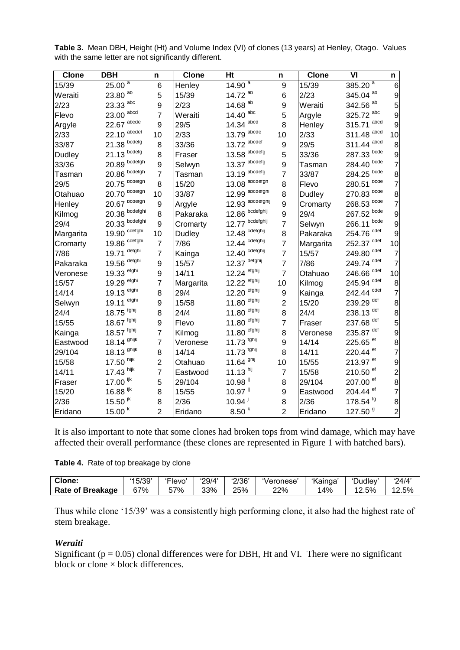| <b>Clone</b>  | <b>DBH</b>               | n              | <b>Clone</b> | Ht                    | n              | Clone     | $\overline{\mathsf{v}}$ | n              |
|---------------|--------------------------|----------------|--------------|-----------------------|----------------|-----------|-------------------------|----------------|
| 15/39         | 25.00 <sup>a</sup>       | 6              | Henley       | 14.90 <sup>a</sup>    | 9              | 15/39     | $385.\overline{20}^{a}$ | 6              |
| Weraiti       | 23.80 ab                 | 5              | 15/39        | 14.72 ab              | 6              | 2/23      | 345.04 <sup>ab</sup>    | 9              |
| 2/23          | 23.33 abc                | 9              | 2/23         | 14.68 ab              | 9              | Weraiti   | 342.56 <sup>ab</sup>    | 5              |
| Flevo         | $23.00$ abcd             | $\overline{7}$ | Weraiti      | 14.40 abc             | 5              | Argyle    | 325.72 abc              | 9              |
| Argyle        | $22.67$ abcde            | 9              | 29/5         | 14.34 abcd            | 8              | Henley    | 315.71 abcd             | 9              |
| 2/33          | $22.10$ abcdef           | 10             | 2/33         | $13.79$ abcde         | 10             | 2/33      | 311.48 abcd             | 10             |
| 33/87         | $21.38$ bcdetg           | 8              | 33/36        | $13.72$ abcdet        | 9              | 29/5      | 311.44 abcd             | 8              |
| <b>Dudley</b> | $21.13$ bcdetg           | 8              | Fraser       | $13.58$ abcdetg       | 5              | 33/36     | $287.33$ bcde           | 9              |
| 33/36         | $20.89$ bcdefgh          | 9              | Selwyn       | $13.37$ abcdefg       | 9              | Tasman    | 284.40 bcde             | $\overline{7}$ |
| Tasman        | $20.86$ bcdefgh          | $\overline{7}$ | Tasman       | $13.19$ abcdefg       | $\overline{7}$ | 33/87     | 284.25 bcde             | 8              |
| 29/5          | $20.75$ bcdefgh          | 8              | 15/20        | $13.08$ abcdefgh      | 8              | Flevo     | bcde<br>280.51          | 7              |
| Otahuao       | $20.70$ bcdefgh          | 10             | 33/87        | 12.99 abcdefghi       | 8              | Dudley    | 270.83 bcde             | 8              |
| Henley        | $20.67$ bcdetgh          | 9              | Argyle       | 12.93 abcdetghij      | 9              | Cromarty  | $268.53$ bcde           | 7              |
| Kilmog        | $20.38$ bcdetghi         | 8              | Pakaraka     | 12.86 bcdetghij       | 9              | 29/4      | $267.52$ bcde           | 9              |
| 29/4          | $20.33$ bcdefghi         | 9              | Cromarty     | 12.77 bcdefghij       | $\overline{7}$ | Selwyn    | bcde<br>266.11          | 9              |
| Margarita     | 19.90 cdefghi            | 10             | Dudley       | 12.48 cdefghij        | 8              | Pakaraka  | 254.76 cdef             | 9              |
| Cromarty      | 19.86 cdefghi            | $\overline{7}$ | 7/86         | 12.44 cdefghij        | $\overline{7}$ | Margarita | 252.37 cdef             | 10             |
| 7/86          | 19.71 defghi             | $\overline{7}$ | Kainga       | 12.40 cdefghij        | $\overline{7}$ | 15/57     | 249.80 <sup>cdef</sup>  | $\overline{7}$ |
| Pakaraka      | 19.56 defghi             | 9              | 15/57        | 12.37 defghij         | $\overline{7}$ | 7/86      | 249.74 cdef             | $\overline{7}$ |
| Veronese      | 19.33 etghi              | 9              | 14/11        | 12.24 etghij          | $\overline{7}$ | Otahuao   | 246.66 <sup>cdet</sup>  | 10             |
| 15/57         | 19.29 etghi              | $\overline{7}$ | Margarita    | 12.22 etghij          | 10             | Kilmog    | 245.94 cdet             | 8              |
| 14/14         | 19.13 efghi              | 8              | 29/4         | 12.20 efghij          | 9              | Kainga    | 242.44 <sup>cdef</sup>  | $\overline{7}$ |
| Selwyn        | $19.11$ efghi            | 9              | 15/58        | $11.80$ efghij        | $\overline{2}$ | 15/20     | 239.29 def              | 8              |
| 24/4          | $18.75$ fghij            | 8              | 24/4         | $11.80$ efghij        | 8              | 24/4      | 238.13 def              | 8              |
| 15/55         | 18.67 fghij              | 9              | Flevo        | 11.80 efghij          | $\overline{7}$ | Fraser    | 237.68 def              | 5              |
| Kainga        | $18.57$ fghij            | 7              | Kilmog       | efghij<br>11.80       | 8              | Veronese  | 235.87 def              | 9              |
| Eastwood      | $18.14$ <sup>ghijk</sup> | 7              | Veronese     | $11.73$ tghij         | 9              | 14/14     | 225.65 <sup>et</sup>    | 8              |
| 29/104        | 18.13 <sup>ghijk</sup>   | 8              | 14/14        | 11.73 fghij           | 8              | 14/11     | 220.44 <sup>ef</sup>    | 7              |
| 15/58         | $17.50$ hijk             | $\overline{c}$ | Otahuao      | 11.64 ghij            | 10             | 15/55     | 213.97 <sup>ef</sup>    | 9              |
| 14/11         | $17.43$ hijk             | $\overline{7}$ | Eastwood     | $11.13$ hij           | $\overline{7}$ | 15/58     | 210.50 <sup>ef</sup>    | $\overline{c}$ |
| Fraser        | $17.00$ ijk              | 5              | 29/104       | $10.98$ <sup>ij</sup> | 8              | 29/104    | 207.00 <sup>ef</sup>    | 8              |
| 15/20         | $16.88$ ijk              | 8              | 15/55        | $10.97$ <sup>ij</sup> | 9              | Eastwood  | 204.44 <sup>ef</sup>    | $\overline{7}$ |
| 2/36          | $15.50$ <sup>JK</sup>    | 8              | 2/36         | $10.94$ <sup>1</sup>  | 8              | 2/36      | 178.54 <sup>tg</sup>    | 8              |
| Eridano       | 15.00 <sup>k</sup>       | $\overline{2}$ | Eridano      | 8.50 <sup>k</sup>     | $\overline{2}$ | Eridano   | 127.50 <sup>9</sup>     | $\overline{c}$ |

**Table 3.** Mean DBH, Height (Ht) and Volume Index (VI) of clones (13 years) at Henley, Otago. Values with the same letter are not significantly different.

It is also important to note that some clones had broken tops from wind damage, which may have affected their overall performance (these clones are represented in Figure 1 with hatched bars).

|  |  |  | Table 4. Rate of top breakage by clone |  |
|--|--|--|----------------------------------------|--|
|--|--|--|----------------------------------------|--|

| Clone:                  | '15/39'    | $\sim$ $ \sim$<br>-levo | '29/4' | '2/36' | Veronese | 'Kainga | -<br>Dudley' | 24/4' |
|-------------------------|------------|-------------------------|--------|--------|----------|---------|--------------|-------|
| <b>Rate of Breakage</b> | <b>S7%</b> | 57%                     | 33%    | 25%    | 22%      | 4%      | 2.5%         | 2.5%  |

Thus while clone '15/39' was a consistently high performing clone, it also had the highest rate of stem breakage.

#### *Weraiti*

Significant ( $p = 0.05$ ) clonal differences were for DBH, Ht and VI. There were no significant block or clone  $\times$  block differences.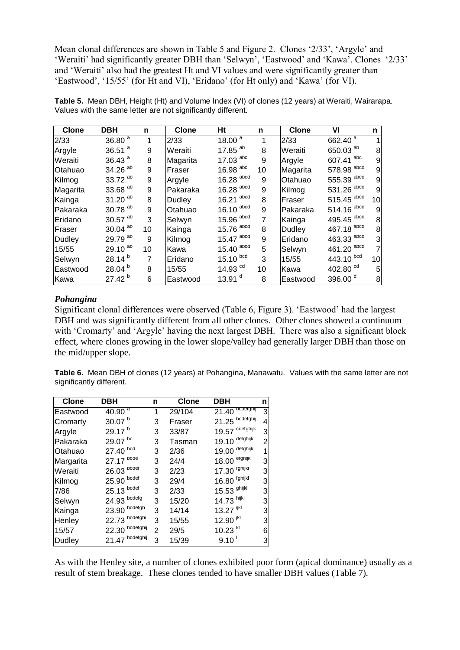Mean clonal differences are shown in Table 5 and Figure 2. Clones '2/33', 'Argyle' and 'Weraiti' had significantly greater DBH than 'Selwyn', 'Eastwood' and 'Kawa'. Clones '2/33' and 'Weraiti' also had the greatest Ht and VI values and were significantly greater than 'Eastwood', '15/55' (for Ht and VI), 'Eridano' (for Ht only) and 'Kawa' (for VI).

| <b>Clone</b> | <b>DBH</b>            | n  | <b>Clone</b> | Ht                      | n  | <b>Clone</b> | VI                        | n  |
|--------------|-----------------------|----|--------------|-------------------------|----|--------------|---------------------------|----|
| 2/33         | $36.80^{a}$           | 1  | 2/33         | $18.00^{\frac{a}{a}}$   | 1  | 2/33         | $662.\overline{40}^{\ a}$ |    |
| Argyle       | 36.51 $a$             | 9  | Weraiti      | 17.85 $^{ab}$           | 8  | Weraiti      | 650.03 ab                 | 8  |
| Weraiti      | 36.43 $a$             | 8  | Magarita     | $17.03$ abc             | 9  | Argyle       | 607.41 abc                | 9  |
| Otahuao      | $34.26$ <sup>ab</sup> | 9  | Fraser       | $16.98$ <sup>abc</sup>  | 10 | Magarita     | 578.98 abcd               | 9  |
| Kilmog       | $33.72$ <sup>ab</sup> | 9  | Argyle       | $16.28$ <sup>abcd</sup> | 9  | Otahuao      | $555.39$ abcd             | 9  |
| Magarita     | $33.68$ <sup>ab</sup> | 9  | Pakaraka     | $16.28$ <sup>abcd</sup> | 9  | Kilmog       | 531.26 abcd               | 9  |
| Kainga       | $31.20$ <sup>ab</sup> | 8  | Dudley       | $16.21$ <sup>abcd</sup> | 8  | Fraser       | $515.45$ <sup>abcd</sup>  | 10 |
| Pakaraka     | $30.78$ <sup>ab</sup> | 9  | Otahuao      | $16.10$ abcd            | 9  | Pakaraka     | $514.16$ abcd             | 9  |
| Eridano      | $30.57$ <sup>ab</sup> | 3  | Selwyn       | $15.96$ abcd            | 7  | Kainga       | 495.45 abcd               | 8  |
| Fraser       | $30.04$ <sup>ab</sup> | 10 | Kainga       | $15.76$ abcd            | 8  | Dudley       | 467.18 abcd               | 8  |
| Dudley       | 29.79 ab              | 9  | Kilmog       | $15.47$ abcd            | 9  | Eridano      | 463.33 abcd               | 3  |
| 15/55        | $29.10^{ab}$          | 10 | Kawa         | $15.40$ abcd            | 5  | Selwyn       | 461.20 abcd               | 7  |
| Selwyn       | $28.14^{b}$           | 7  | Eridano      | $15.10$ $^{bcd}$        | 3  | 15/55        | $443.10$ $bcd$            | 10 |
| Eastwood     | 28.04 <sup>b</sup>    | 8  | 15/55        | 14.93 $^{cd}$           | 10 | Kawa         | 402.80 <sup>cd</sup>      | 5  |
| Kawa         | 27.42 <sup>b</sup>    | 6  | Eastwood     | 13.91 $d$               | 8  | Eastwood     | 396.00 <sup>d</sup>       | 8  |

**Table 5.** Mean DBH, Height (Ht) and Volume Index (VI) of clones (12 years) at Weraiti, Wairarapa. Values with the same letter are not significantly different.

#### *Pohangina*

Significant clonal differences were observed (Table 6, Figure 3). 'Eastwood' had the largest DBH and was significantly different from all other clones. Other clones showed a continuum with 'Cromarty' and 'Argyle' having the next largest DBH. There was also a significant block effect, where clones growing in the lower slope/valley had generally larger DBH than those on the mid/upper slope.

**Table 6.** Mean DBH of clones (12 years) at Pohangina, Manawatu. Values with the same letter are not significantly different.

| <b>Clone</b> | DBH                | n            | <b>Clone</b> | DBH                          | n |
|--------------|--------------------|--------------|--------------|------------------------------|---|
| Eastwood     | $40.90^{a}$        | 1            | 29/104       | $21.\overline{40}$ bcderghij | 3 |
| Cromarty     | 30.07 <sup>b</sup> | 3            | Fraser       | $21.25$ bcdefghij            | 4 |
| Argyle       | 29.17 <sup>b</sup> | 3            | 33/87        | 19.57 cdefghijk              | 3 |
| Pakaraka     | 29.07 bc           | 3            | Tasman       | $19.10$ defghijk             | 2 |
| Otahuao      | 27.40 bcd          | 3            | 2/36         | 19.00 defghijk               |   |
| Margarita    | 27.17 bcde         | 3            | 24/4         | $18.00$ efghijk              | 3 |
| Weraiti      | $26.03$ bcdet      | 3            | 2/23         | 17.30 tghijkl                | 3 |
| Kilmog       | $25.90$ $^{bcdet}$ | 3            | 29/4         | $16.80$ tghijkl              | 3 |
| 7/86         | 25.13 bcdef        | 3            | 2/33         | 15.53 <sup>ghijkl</sup>      | 3 |
| Selwyn       | $24.93$ bcdefg     | 3            | 15/20        | 14.73 hijkl                  | 3 |
| Kainga       | $23.90$ bcdefgh    | 3            | 14/14        | $13.27$ ijkl                 | 3 |
| Henley       | $22.73$ bcdefghi   | 3            | 15/55        | $12.90$ jkl                  | 3 |
| 15/57        | $22.30$ bcdetghij  | $\mathbf{2}$ | 29/5         | $10.23$ $kI$                 | 6 |
| Dudley       | $21.47$ bcdetghij  | 3            | 15/39        | $9.10$ <sup>1</sup>          | 3 |

As with the Henley site, a number of clones exhibited poor form (apical dominance) usually as a result of stem breakage. These clones tended to have smaller DBH values (Table 7).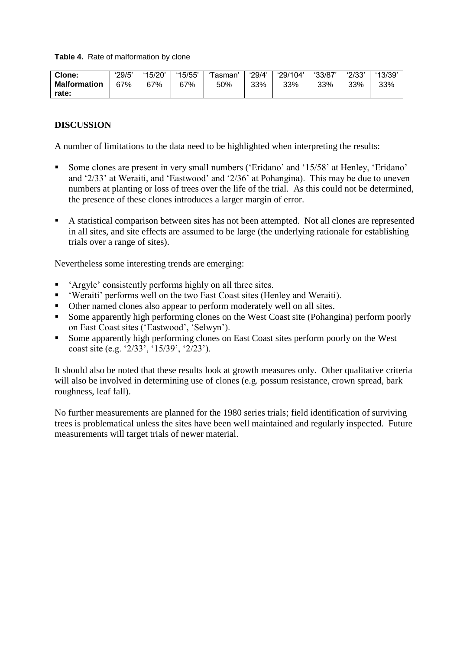**Table 4.** Rate of malformation by clone

| Clone:              | '29/5' | '15/20' | '15/55' | ⊺asman | '29/4' | '29/104' | '33/87' | '2/33' | 13/39 |
|---------------------|--------|---------|---------|--------|--------|----------|---------|--------|-------|
| <b>Malformation</b> | 67%    | 67%     | 67%     | 50%    | 33%    | 33%      | 33%     | 33%    | 33%   |
| rate:               |        |         |         |        |        |          |         |        |       |

#### **DISCUSSION**

A number of limitations to the data need to be highlighted when interpreting the results:

- Some clones are present in very small numbers ('Eridano' and '15/58' at Henley, 'Eridano' and '2/33' at Weraiti, and 'Eastwood' and '2/36' at Pohangina). This may be due to uneven numbers at planting or loss of trees over the life of the trial. As this could not be determined, the presence of these clones introduces a larger margin of error.
- A statistical comparison between sites has not been attempted. Not all clones are represented in all sites, and site effects are assumed to be large (the underlying rationale for establishing trials over a range of sites).

Nevertheless some interesting trends are emerging:

- 'Argyle' consistently performs highly on all three sites.
- 'Weraiti' performs well on the two East Coast sites (Henley and Weraiti).
- Other named clones also appear to perform moderately well on all sites.
- Some apparently high performing clones on the West Coast site (Pohangina) perform poorly on East Coast sites ('Eastwood', 'Selwyn').
- Some apparently high performing clones on East Coast sites perform poorly on the West coast site (e.g. '2/33', '15/39', '2/23').

It should also be noted that these results look at growth measures only. Other qualitative criteria will also be involved in determining use of clones (e.g. possum resistance, crown spread, bark roughness, leaf fall).

No further measurements are planned for the 1980 series trials; field identification of surviving trees is problematical unless the sites have been well maintained and regularly inspected. Future measurements will target trials of newer material.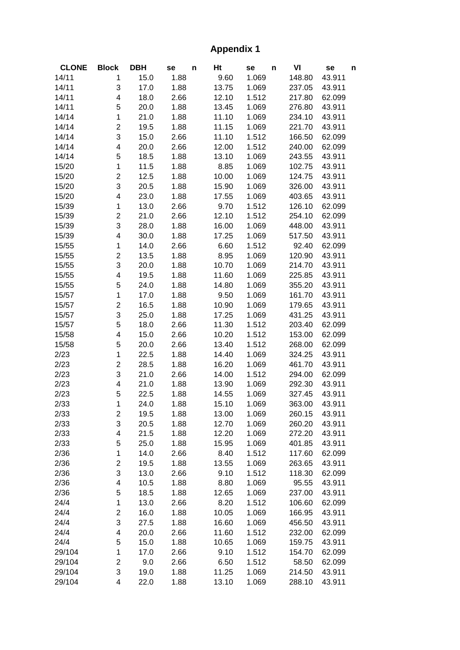# **Appendix 1**

| <b>CLONE</b> | <b>Block</b>            | <b>DBH</b> | se   | n | Ht    | se    | n | VI     | se     | n |
|--------------|-------------------------|------------|------|---|-------|-------|---|--------|--------|---|
| 14/11        | 1                       | 15.0       | 1.88 |   | 9.60  | 1.069 |   | 148.80 | 43.911 |   |
| 14/11        | 3                       | 17.0       | 1.88 |   | 13.75 | 1.069 |   | 237.05 | 43.911 |   |
| 14/11        | 4                       | 18.0       | 2.66 |   | 12.10 | 1.512 |   | 217.80 | 62.099 |   |
| 14/11        | 5                       | 20.0       | 1.88 |   | 13.45 | 1.069 |   | 276.80 | 43.911 |   |
| 14/14        | 1                       | 21.0       | 1.88 |   | 11.10 | 1.069 |   | 234.10 | 43.911 |   |
| 14/14        | 2                       | 19.5       | 1.88 |   | 11.15 | 1.069 |   | 221.70 | 43.911 |   |
| 14/14        | 3                       | 15.0       | 2.66 |   | 11.10 | 1.512 |   | 166.50 | 62.099 |   |
| 14/14        | 4                       | 20.0       | 2.66 |   | 12.00 | 1.512 |   | 240.00 | 62.099 |   |
| 14/14        | 5                       | 18.5       | 1.88 |   | 13.10 | 1.069 |   | 243.55 | 43.911 |   |
| 15/20        | 1                       | 11.5       | 1.88 |   | 8.85  | 1.069 |   | 102.75 | 43.911 |   |
| 15/20        | $\overline{\mathbf{c}}$ | 12.5       | 1.88 |   | 10.00 | 1.069 |   | 124.75 | 43.911 |   |
| 15/20        | 3                       | 20.5       | 1.88 |   | 15.90 | 1.069 |   | 326.00 | 43.911 |   |
| 15/20        | 4                       | 23.0       | 1.88 |   | 17.55 | 1.069 |   | 403.65 | 43.911 |   |
| 15/39        | 1                       | 13.0       | 2.66 |   | 9.70  | 1.512 |   | 126.10 | 62.099 |   |
| 15/39        | $\overline{\mathbf{c}}$ | 21.0       | 2.66 |   | 12.10 | 1.512 |   | 254.10 | 62.099 |   |
| 15/39        | 3                       | 28.0       | 1.88 |   | 16.00 | 1.069 |   | 448.00 | 43.911 |   |
| 15/39        | 4                       | 30.0       | 1.88 |   | 17.25 | 1.069 |   | 517.50 | 43.911 |   |
| 15/55        | 1                       | 14.0       | 2.66 |   | 6.60  | 1.512 |   | 92.40  | 62.099 |   |
| 15/55        | $\overline{\mathbf{c}}$ | 13.5       | 1.88 |   | 8.95  | 1.069 |   | 120.90 | 43.911 |   |
| 15/55        | 3                       | 20.0       | 1.88 |   | 10.70 | 1.069 |   | 214.70 | 43.911 |   |
| 15/55        | 4                       | 19.5       | 1.88 |   | 11.60 | 1.069 |   | 225.85 | 43.911 |   |
| 15/55        | 5                       | 24.0       | 1.88 |   | 14.80 | 1.069 |   | 355.20 | 43.911 |   |
| 15/57        | 1                       | 17.0       | 1.88 |   | 9.50  | 1.069 |   | 161.70 | 43.911 |   |
| 15/57        | $\overline{\mathbf{c}}$ | 16.5       | 1.88 |   | 10.90 | 1.069 |   | 179.65 | 43.911 |   |
| 15/57        | 3                       | 25.0       | 1.88 |   | 17.25 | 1.069 |   | 431.25 | 43.911 |   |
| 15/57        | 5                       | 18.0       | 2.66 |   | 11.30 | 1.512 |   | 203.40 | 62.099 |   |
| 15/58        | 4                       | 15.0       | 2.66 |   | 10.20 | 1.512 |   | 153.00 | 62.099 |   |
| 15/58        | 5                       | 20.0       | 2.66 |   | 13.40 | 1.512 |   | 268.00 | 62.099 |   |
| 2/23         | $\mathbf 1$             | 22.5       | 1.88 |   | 14.40 | 1.069 |   | 324.25 | 43.911 |   |
| 2/23         | $\overline{\mathbf{c}}$ | 28.5       | 1.88 |   | 16.20 | 1.069 |   | 461.70 | 43.911 |   |
| 2/23         | 3                       | 21.0       | 2.66 |   | 14.00 | 1.512 |   | 294.00 | 62.099 |   |
| 2/23         | 4                       | 21.0       | 1.88 |   | 13.90 | 1.069 |   | 292.30 | 43.911 |   |
| 2/23         | 5                       | 22.5       | 1.88 |   | 14.55 | 1.069 |   | 327.45 | 43.911 |   |
| 2/33         | 1                       | 24.0       | 1.88 |   | 15.10 | 1.069 |   | 363.00 | 43.911 |   |
| 2/33         | 2                       | 19.5       | 1.88 |   | 13.00 | 1.069 |   | 260.15 | 43.911 |   |
| 2/33         | 3                       | 20.5       | 1.88 |   | 12.70 | 1.069 |   | 260.20 | 43.911 |   |
| 2/33         | 4                       | 21.5       | 1.88 |   | 12.20 | 1.069 |   | 272.20 | 43.911 |   |
| 2/33         | 5                       | 25.0       | 1.88 |   | 15.95 | 1.069 |   | 401.85 | 43.911 |   |
| 2/36         | $\mathbf 1$             | 14.0       | 2.66 |   | 8.40  | 1.512 |   | 117.60 | 62.099 |   |
| 2/36         | $\overline{\mathbf{c}}$ | 19.5       | 1.88 |   | 13.55 | 1.069 |   | 263.65 | 43.911 |   |
| 2/36         | 3                       | 13.0       | 2.66 |   | 9.10  | 1.512 |   | 118.30 | 62.099 |   |
| 2/36         | 4                       | 10.5       | 1.88 |   | 8.80  | 1.069 |   | 95.55  | 43.911 |   |
| 2/36         | 5                       | 18.5       | 1.88 |   | 12.65 | 1.069 |   | 237.00 | 43.911 |   |
| 24/4         | $\mathbf 1$             | 13.0       | 2.66 |   | 8.20  | 1.512 |   | 106.60 | 62.099 |   |
| 24/4         | $\overline{\mathbf{c}}$ | 16.0       | 1.88 |   | 10.05 | 1.069 |   | 166.95 | 43.911 |   |
| 24/4         | 3                       | 27.5       | 1.88 |   | 16.60 | 1.069 |   | 456.50 | 43.911 |   |
| 24/4         | 4                       | 20.0       | 2.66 |   | 11.60 | 1.512 |   | 232.00 | 62.099 |   |
| 24/4         | 5                       | 15.0       | 1.88 |   | 10.65 | 1.069 |   | 159.75 | 43.911 |   |
| 29/104       | 1                       | 17.0       | 2.66 |   | 9.10  | 1.512 |   | 154.70 | 62.099 |   |
| 29/104       | $\overline{\mathbf{c}}$ | 9.0        | 2.66 |   | 6.50  | 1.512 |   | 58.50  | 62.099 |   |
| 29/104       | 3                       | 19.0       | 1.88 |   | 11.25 | 1.069 |   | 214.50 | 43.911 |   |
| 29/104       | 4                       | 22.0       | 1.88 |   | 13.10 | 1.069 |   | 288.10 | 43.911 |   |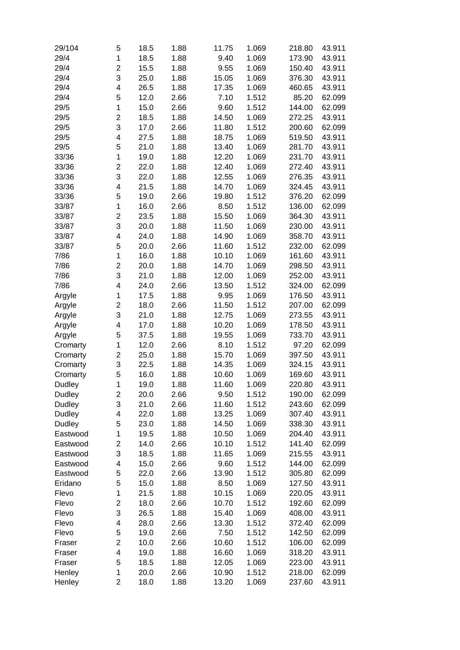| 29/104        | 5                       | 18.5 | 1.88 | 11.75 | 1.069 | 218.80 | 43.911 |
|---------------|-------------------------|------|------|-------|-------|--------|--------|
| 29/4          | 1                       | 18.5 | 1.88 | 9.40  | 1.069 | 173.90 | 43.911 |
| 29/4          | $\overline{\mathbf{c}}$ | 15.5 | 1.88 | 9.55  | 1.069 | 150.40 | 43.911 |
| 29/4          | 3                       | 25.0 | 1.88 | 15.05 | 1.069 | 376.30 | 43.911 |
| 29/4          | 4                       | 26.5 | 1.88 | 17.35 | 1.069 | 460.65 | 43.911 |
| 29/4          | 5                       | 12.0 | 2.66 | 7.10  | 1.512 | 85.20  | 62.099 |
| 29/5          | 1                       | 15.0 | 2.66 | 9.60  | 1.512 | 144.00 | 62.099 |
| 29/5          | $\overline{c}$          | 18.5 | 1.88 | 14.50 | 1.069 | 272.25 | 43.911 |
| 29/5          | 3                       | 17.0 | 2.66 | 11.80 | 1.512 | 200.60 | 62.099 |
| 29/5          | 4                       | 27.5 | 1.88 | 18.75 | 1.069 | 519.50 | 43.911 |
| 29/5          | 5                       | 21.0 | 1.88 | 13.40 | 1.069 | 281.70 | 43.911 |
| 33/36         | 1                       | 19.0 | 1.88 | 12.20 | 1.069 | 231.70 | 43.911 |
|               |                         | 22.0 | 1.88 | 12.40 |       | 272.40 | 43.911 |
| 33/36         | $\overline{\mathbf{c}}$ |      |      |       | 1.069 |        |        |
| 33/36         | 3                       | 22.0 | 1.88 | 12.55 | 1.069 | 276.35 | 43.911 |
| 33/36         | 4                       | 21.5 | 1.88 | 14.70 | 1.069 | 324.45 | 43.911 |
| 33/36         | 5                       | 19.0 | 2.66 | 19.80 | 1.512 | 376.20 | 62.099 |
| 33/87         | 1                       | 16.0 | 2.66 | 8.50  | 1.512 | 136.00 | 62.099 |
| 33/87         | $\overline{c}$          | 23.5 | 1.88 | 15.50 | 1.069 | 364.30 | 43.911 |
| 33/87         | 3                       | 20.0 | 1.88 | 11.50 | 1.069 | 230.00 | 43.911 |
| 33/87         | 4                       | 24.0 | 1.88 | 14.90 | 1.069 | 358.70 | 43.911 |
| 33/87         | 5                       | 20.0 | 2.66 | 11.60 | 1.512 | 232.00 | 62.099 |
| 7/86          | 1                       | 16.0 | 1.88 | 10.10 | 1.069 | 161.60 | 43.911 |
| 7/86          | $\mathbf 2$             | 20.0 | 1.88 | 14.70 | 1.069 | 298.50 | 43.911 |
| 7/86          | 3                       | 21.0 | 1.88 | 12.00 | 1.069 | 252.00 | 43.911 |
| 7/86          | 4                       | 24.0 | 2.66 | 13.50 | 1.512 | 324.00 | 62.099 |
| Argyle        | 1                       | 17.5 | 1.88 | 9.95  | 1.069 | 176.50 | 43.911 |
| Argyle        | $\overline{\mathbf{c}}$ | 18.0 | 2.66 | 11.50 | 1.512 | 207.00 | 62.099 |
| Argyle        | 3                       | 21.0 | 1.88 | 12.75 | 1.069 | 273.55 | 43.911 |
| Argyle        | 4                       | 17.0 | 1.88 | 10.20 | 1.069 | 178.50 | 43.911 |
| Argyle        | 5                       | 37.5 | 1.88 | 19.55 | 1.069 | 733.70 | 43.911 |
| Cromarty      | 1                       | 12.0 | 2.66 | 8.10  | 1.512 | 97.20  | 62.099 |
| Cromarty      | $\overline{\mathbf{c}}$ | 25.0 | 1.88 | 15.70 | 1.069 | 397.50 | 43.911 |
| Cromarty      | 3                       | 22.5 | 1.88 | 14.35 | 1.069 | 324.15 | 43.911 |
| Cromarty      | 5                       | 16.0 | 1.88 | 10.60 | 1.069 | 169.60 | 43.911 |
| Dudley        | 1                       | 19.0 | 1.88 | 11.60 | 1.069 | 220.80 | 43.911 |
| Dudley        | $\overline{\mathbf{c}}$ | 20.0 | 2.66 | 9.50  | 1.512 | 190.00 | 62.099 |
| <b>Dudley</b> | 3                       | 21.0 | 2.66 | 11.60 | 1.512 | 243.60 | 62.099 |
| Dudley        | 4                       | 22.0 | 1.88 | 13.25 | 1.069 | 307.40 | 43.911 |
| Dudley        | 5                       | 23.0 | 1.88 | 14.50 | 1.069 | 338.30 | 43.911 |
| Eastwood      | 1                       | 19.5 | 1.88 | 10.50 | 1.069 | 204.40 | 43.911 |
| Eastwood      | 2                       | 14.0 | 2.66 | 10.10 | 1.512 | 141.40 | 62.099 |
| Eastwood      | 3                       | 18.5 | 1.88 | 11.65 | 1.069 | 215.55 | 43.911 |
| Eastwood      | 4                       | 15.0 | 2.66 | 9.60  | 1.512 | 144.00 | 62.099 |
| Eastwood      | 5                       | 22.0 | 2.66 | 13.90 | 1.512 | 305.80 | 62.099 |
| Eridano       | 5                       | 15.0 | 1.88 | 8.50  | 1.069 | 127.50 | 43.911 |
| Flevo         | 1                       | 21.5 | 1.88 | 10.15 | 1.069 | 220.05 | 43.911 |
| Flevo         | $\overline{\mathbf{c}}$ | 18.0 | 2.66 | 10.70 | 1.512 | 192.60 | 62.099 |
| Flevo         | 3                       | 26.5 | 1.88 | 15.40 | 1.069 | 408.00 | 43.911 |
| Flevo         | 4                       | 28.0 |      | 13.30 | 1.512 | 372.40 | 62.099 |
|               |                         |      | 2.66 |       |       |        |        |
| Flevo         | 5                       | 19.0 | 2.66 | 7.50  | 1.512 | 142.50 | 62.099 |
| Fraser        | $\overline{c}$          | 10.0 | 2.66 | 10.60 | 1.512 | 106.00 | 62.099 |
| Fraser        | 4                       | 19.0 | 1.88 | 16.60 | 1.069 | 318.20 | 43.911 |
| Fraser        | 5                       | 18.5 | 1.88 | 12.05 | 1.069 | 223.00 | 43.911 |
| Henley        | 1                       | 20.0 | 2.66 | 10.90 | 1.512 | 218.00 | 62.099 |
| Henley        | $\overline{c}$          | 18.0 | 1.88 | 13.20 | 1.069 | 237.60 | 43.911 |